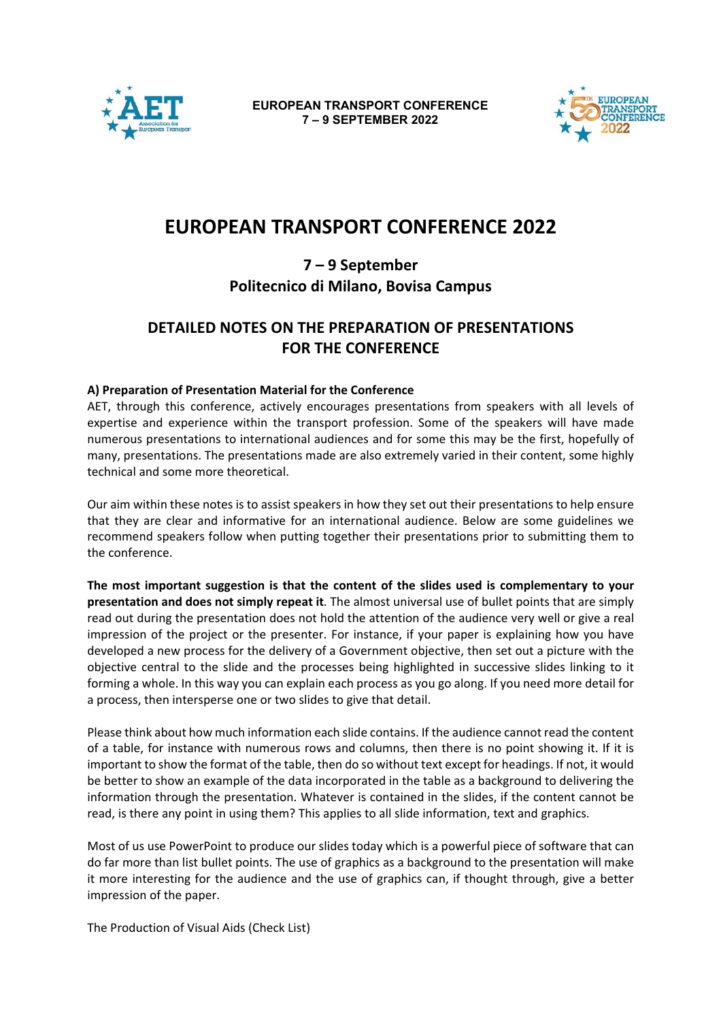

**EUROPEAN TRANSPORT CONFERENCE 7 – 9 SEPTEMBER 2022**



# **EUROPEAN TRANSPORT CONFERENCE 2022**

## **7 – 9 September Politecnico di Milano, Bovisa Campus**

# **DETAILED NOTES ON THE PREPARATION OF PRESENTATIONS FOR THE CONFERENCE**

### **A) Preparation of Presentation Material for the Conference**

AET, through this conference, actively encourages presentations from speakers with all levels of expertise and experience within the transport profession. Some of the speakers will have made numerous presentations to international audiences and for some this may be the first, hopefully of many, presentations. The presentations made are also extremely varied in their content, some highly technical and some more theoretical.

Our aim within these notes is to assist speakers in how they set out their presentations to help ensure that they are clear and informative for an international audience. Below are some guidelines we recommend speakers follow when putting together their presentations prior to submitting them to the conference.

**The most important suggestion is that the content of the slides used is complementary to your presentation and does not simply repeat it**. The almost universal use of bullet points that are simply read out during the presentation does not hold the attention of the audience very well or give a real impression of the project or the presenter. For instance, if your paper is explaining how you have developed a new process for the delivery of a Government objective, then set out a picture with the objective central to the slide and the processes being highlighted in successive slides linking to it forming a whole. In this way you can explain each process as you go along. If you need more detail for a process, then intersperse one or two slides to give that detail.

Please think about how much information each slide contains. If the audience cannot read the content of a table, for instance with numerous rows and columns, then there is no point showing it. If it is important to show the format of the table, then do so without text except for headings. If not, it would be better to show an example of the data incorporated in the table as a background to delivering the information through the presentation. Whatever is contained in the slides, if the content cannot be read, is there any point in using them? This applies to all slide information, text and graphics.

Most of us use PowerPoint to produce our slides today which is a powerful piece of software that can do far more than list bullet points. The use of graphics as a background to the presentation will make it more interesting for the audience and the use of graphics can, if thought through, give a better impression of the paper.

The Production of Visual Aids (Check List)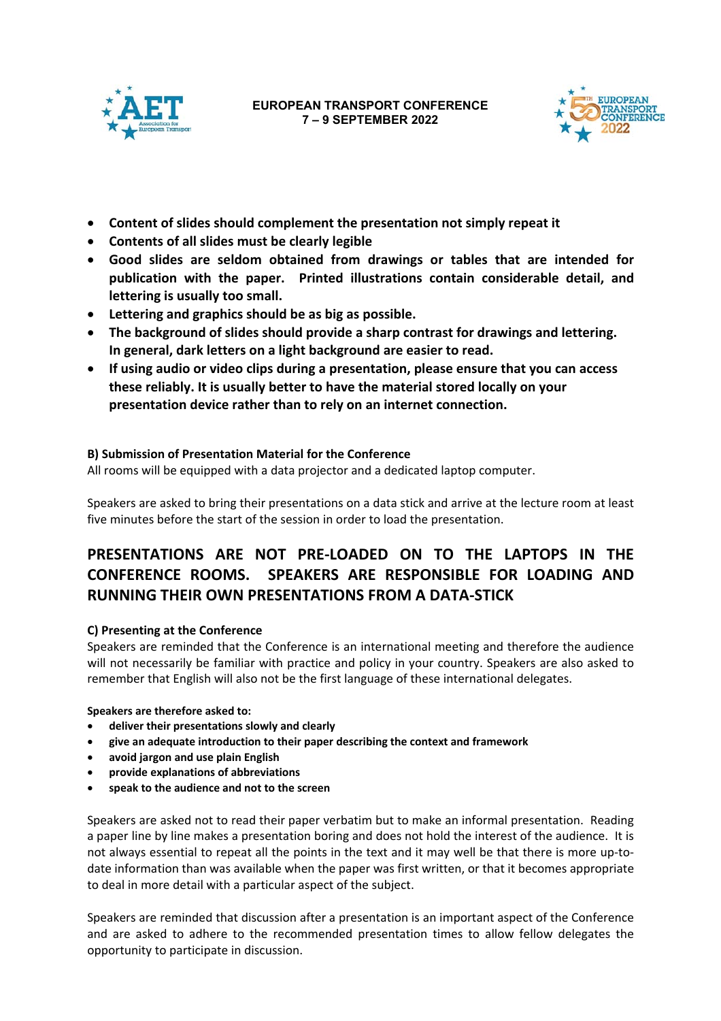



- **Content of slides should complement the presentation not simply repeat it**
- **Contents of all slides must be clearly legible**
- **Good slides are seldom obtained from drawings or tables that are intended for publication with the paper. Printed illustrations contain considerable detail, and lettering is usually too small.**
- **Lettering and graphics should be as big as possible.**
- **The background of slides should provide a sharp contrast for drawings and lettering. In general, dark letters on a light background are easier to read.**
- **If using audio or video clips during a presentation, please ensure that you can access these reliably. It is usually better to have the material stored locally on your presentation device rather than to rely on an internet connection.**

### **B) Submission of Presentation Material for the Conference**

All rooms will be equipped with a data projector and a dedicated laptop computer.

Speakers are asked to bring their presentations on a data stick and arrive at the lecture room at least five minutes before the start of the session in order to load the presentation.

# **PRESENTATIONS ARE NOT PRE‐LOADED ON TO THE LAPTOPS IN THE CONFERENCE ROOMS. SPEAKERS ARE RESPONSIBLE FOR LOADING AND RUNNING THEIR OWN PRESENTATIONS FROM A DATA‐STICK**

#### **C) Presenting at the Conference**

Speakers are reminded that the Conference is an international meeting and therefore the audience will not necessarily be familiar with practice and policy in your country. Speakers are also asked to remember that English will also not be the first language of these international delegates.

**Speakers are therefore asked to:** 

- **deliver their presentations slowly and clearly**
- **give an adequate introduction to their paper describing the context and framework**
- **avoid jargon and use plain English**
- **provide explanations of abbreviations**
- **speak to the audience and not to the screen**

Speakers are asked not to read their paper verbatim but to make an informal presentation. Reading a paper line by line makes a presentation boring and does not hold the interest of the audience. It is not always essential to repeat all the points in the text and it may well be that there is more up-todate information than was available when the paper was first written, or that it becomes appropriate to deal in more detail with a particular aspect of the subject.

Speakers are reminded that discussion after a presentation is an important aspect of the Conference and are asked to adhere to the recommended presentation times to allow fellow delegates the opportunity to participate in discussion.